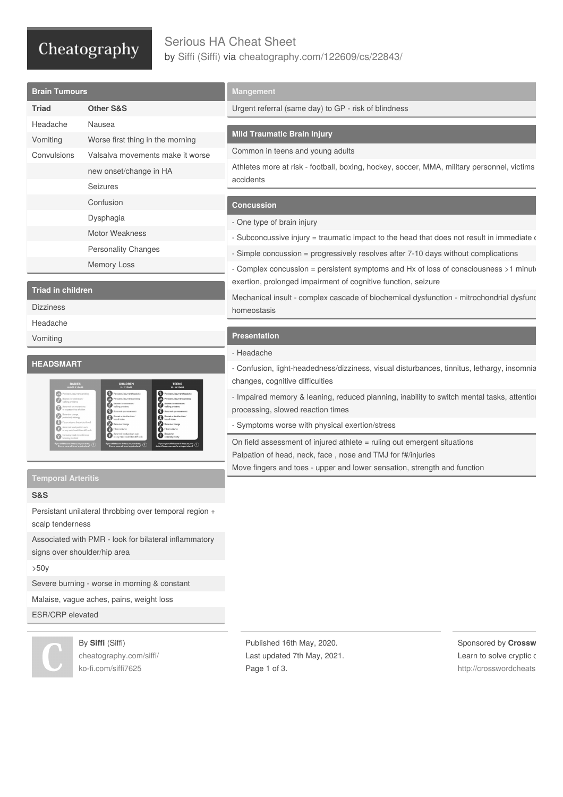## Cheatography

### Serious HA Cheat Sheet by Siffi [\(Siffi\)](http://www.cheatography.com/siffi/) via [cheatography.com/122609/cs/22843/](http://www.cheatography.com/siffi/cheat-sheets/serious-ha)

| <b>Brain Tumours</b>     |                                  | <b>Mangement</b>                                                                                       |
|--------------------------|----------------------------------|--------------------------------------------------------------------------------------------------------|
| <b>Triad</b>             | <b>Other S&amp;S</b>             | Urgent referral (same day) to GP - risk of blindness                                                   |
| Headache                 | Nausea                           |                                                                                                        |
| Vomiting                 | Worse first thing in the morning | <b>Mild Traumatic Brain Injury</b>                                                                     |
| Convulsions              | Valsalva movements make it worse | Common in teens and young adults                                                                       |
|                          | new onset/change in HA           | Athletes more at risk - football, boxing, hockey, soccer, MMA, military personnel, victims             |
|                          | <b>Seizures</b>                  | accidents                                                                                              |
|                          | Confusion                        | <b>Concussion</b>                                                                                      |
|                          | Dysphagia                        | - One type of brain injury                                                                             |
|                          | Motor Weakness                   | - Subconcussive injury = traumatic impact to the head that does not result in immediate $\epsilon$     |
|                          | <b>Personality Changes</b>       | - Simple concussion = progressively resolves after 7-10 days without complications                     |
|                          | <b>Memory Loss</b>               | - Complex concussion = persistent symptoms and Hx of loss of consciousness >1 minute                   |
|                          |                                  | exertion, prolonged impairment of cognitive function, seizure                                          |
| <b>Triad in children</b> |                                  | 1. 그 사이 그는 그 사이를 하는 것이 아니라 그는 그 사이에게 하는 것이 없다. 그 사이 그는 그 사이에 대해 보이는 것이 없다. 그 사이 그는 그 사이에 대해 보이는 것이 없다. |

Dizziness

Headache

Vomiting

#### **HEADSMART**

| <b>BABIES</b><br><b>UNDER 5 YEARS</b>                                                            | <b>CHILDREN</b><br>$5 - 11$ YEARS                                                                | <b>TEENS</b><br>12 - 18 YEARS                         |
|--------------------------------------------------------------------------------------------------|--------------------------------------------------------------------------------------------------|-------------------------------------------------------|
| Persistent/recurrent vomiting                                                                    | Persistent/recurrent headache                                                                    | Persistent/recurrent headache                         |
| Balance/co-ordination/<br>walking problems                                                       | Persistent/recurrent vomiting                                                                    | Persistent/recurrent vomiting                         |
| Abnormal eye movements                                                                           | Balance/co-ordination/<br>walking problems                                                       | Balance/co-ordination/<br>walking problems            |
| or suspected loss of vision                                                                      | Abnormal eye movements                                                                           | Abnormal eye mevements                                |
| Behaviour change,<br>particularly letharzy                                                       | Blurred or double vision/<br>Ince of vision                                                      | Blurred or double vision/<br><b>Inex of vision</b>    |
| Fits or seizures (not with a fever)                                                              | Behaviour change                                                                                 | Behaviour change                                      |
| Abnormal head pesition such<br>図<br>as wry neck, head tilt or stiff neck                         | Fits or seloures                                                                                 | Fits or seleures                                      |
| Increasing head circumference<br>(crossing centiles)                                             | Abnormal head position such<br>as wry neck, head tilt or stiff neck                              | Delayed or<br>arrested puberty                        |
| If your child has one of these, see your doctor.<br>If two or more, sok for an 'urgent referral' | If your child has one of these, see your doctor.<br>if two or more, ask for an 'urgent referral' | dector. If two or more, soli for an 'urgent referral' |

| and the contract and the second contract of the contract of the contract of the contract of the contract of th |
|----------------------------------------------------------------------------------------------------------------|
| - Complex concussion = persistent symptoms and Hx of loss of consciousness >1 minute                           |
| exertion, prolonged impairment of cognitive function, seizure                                                  |
| Mechanical insult - complex cascade of biochemical dysfunction - mitrochondrial dysfunc                        |

### **Presentation**

homeostasis

#### - Headache

- Confusion, light-headedness/dizziness, visual disturbances, tinnitus, lethargy, insomnia changes, cognitive difficulties

- Impaired memory & leaning, reduced planning, inability to switch mental tasks, attention processing, slowed reaction times

- Symptoms worse with physical exertion/stress

On field assessment of injured athlete = ruling out emergent situations Palpation of head, neck, face , nose and TMJ for f#/injuries Move fingers and toes - upper and lower sensation, strength and function

#### **S&S**

Persistant unilateral throbbing over temporal region + scalp tenderness

Associated with PMR - look for bilateral inflammatory signs over shoulder/hip area

### >50y

Severe burning - worse in morning & constant

Malaise, vague aches, pains, weight loss

ESR/CRP elevated

By **Siffi** (Siffi)

[cheatography.com/siffi/](http://www.cheatography.com/siffi/) [ko-fi.com/siffi7625](https://ko-fi.com/siffi7625)

Published 16th May, 2020. Last updated 7th May, 2021. Page 1 of 3.

Sponsored by **Crossw** Learn to solve cryptic c http://crosswordcheats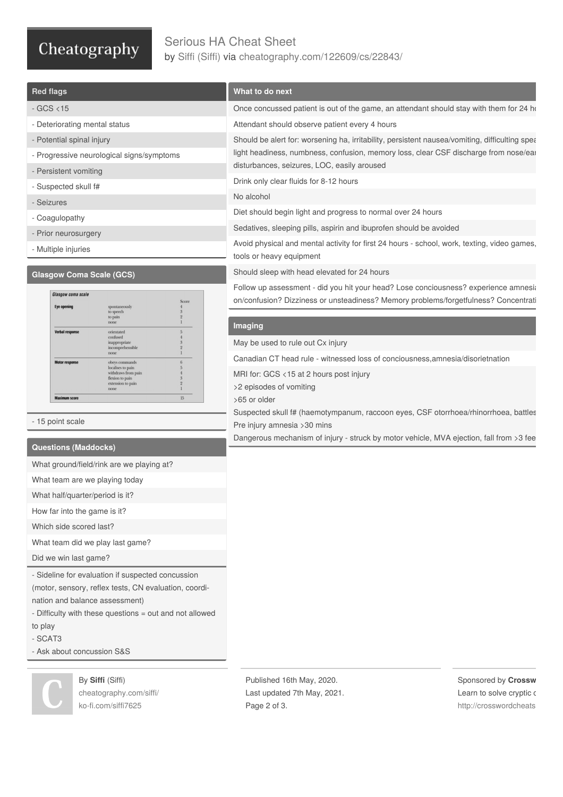# Cheatography

## Serious HA Cheat Sheet by Siffi [\(Siffi\)](http://www.cheatography.com/siffi/) via [cheatography.com/122609/cs/22843/](http://www.cheatography.com/siffi/cheat-sheets/serious-ha)

| <b>Red flags</b>                                                                        | What to do next                                                                                                                                                                        |                          |  |
|-----------------------------------------------------------------------------------------|----------------------------------------------------------------------------------------------------------------------------------------------------------------------------------------|--------------------------|--|
| $-GCS < 15$                                                                             | Once concussed patient is out of the game, an attendant should stay with them for 24 ho                                                                                                |                          |  |
| - Deteriorating mental status                                                           | Attendant should observe patient every 4 hours                                                                                                                                         |                          |  |
| - Potential spinal injury                                                               | Should be alert for: worsening ha, irritability, persistent nausea/vomiting, difficulting spea<br>light headiness, numbness, confusion, memory loss, clear CSF discharge from nose/ear |                          |  |
| - Progressive neurological signs/symptoms                                               |                                                                                                                                                                                        |                          |  |
| - Persistent vomiting                                                                   | disturbances, seizures, LOC, easily aroused                                                                                                                                            |                          |  |
| - Suspected skull f#                                                                    | Drink only clear fluids for 8-12 hours                                                                                                                                                 |                          |  |
| - Seizures                                                                              | No alcohol                                                                                                                                                                             |                          |  |
| - Coagulopathy                                                                          | Diet should begin light and progress to normal over 24 hours                                                                                                                           |                          |  |
| - Prior neurosurgery                                                                    | Sedatives, sleeping pills, aspirin and ibuprofen should be avoided                                                                                                                     |                          |  |
| - Multiple injuries                                                                     | Avoid physical and mental activity for first 24 hours - school, work, texting, video games,<br>tools or heavy equipment                                                                |                          |  |
| <b>Glasgow Coma Scale (GCS)</b>                                                         | Should sleep with head elevated for 24 hours                                                                                                                                           |                          |  |
| Glasgow coma scale                                                                      | Follow up assessment - did you hit your head? Lose conciousness? experience amnesia                                                                                                    |                          |  |
| Score<br><b>Eye openin</b><br>spontaneously                                             | on/confusion? Dizziness or unsteadiness? Memory problems/forgetfulness? Concentrati                                                                                                    |                          |  |
| to speech<br>to pain<br>$\overline{2}$<br>none<br>1                                     | Imaging                                                                                                                                                                                |                          |  |
| $\overline{5}$<br>Verbal response<br>orientated<br>confused                             |                                                                                                                                                                                        |                          |  |
| inappropriate<br>incomprehensible<br>none                                               | May be used to rule out Cx injury                                                                                                                                                      |                          |  |
| 6<br><b>Motor respons</b><br>obeys commands<br>localises to pain<br>withdraws from pain | Canadian CT head rule - witnessed loss of conciousness, amnesia/disorietnation                                                                                                         |                          |  |
| flexion to pain<br>extension to pain                                                    | MRI for: GCS <15 at 2 hours post injury<br>>2 episodes of vomiting                                                                                                                     |                          |  |
| 15<br><b>Maximum score</b>                                                              | >65 or older                                                                                                                                                                           |                          |  |
|                                                                                         | Suspected skull f# (haemotympanum, raccoon eyes, CSF otorrhoea/rhinorrhoea, battles                                                                                                    |                          |  |
| - 15 point scale                                                                        | Pre injury amnesia > 30 mins                                                                                                                                                           |                          |  |
| <b>Questions (Maddocks)</b>                                                             | Dangerous mechanism of injury - struck by motor vehicle, MVA ejection, fall from >3 fee                                                                                                |                          |  |
| What ground/field/rink are we playing at?                                               |                                                                                                                                                                                        |                          |  |
| What team are we playing today                                                          |                                                                                                                                                                                        |                          |  |
| What half/quarter/period is it?                                                         |                                                                                                                                                                                        |                          |  |
| How far into the game is it?                                                            |                                                                                                                                                                                        |                          |  |
| Which side scored last?                                                                 |                                                                                                                                                                                        |                          |  |
| What team did we play last game?                                                        |                                                                                                                                                                                        |                          |  |
| Did we win last game?                                                                   |                                                                                                                                                                                        |                          |  |
| - Sideline for evaluation if suspected concussion                                       |                                                                                                                                                                                        |                          |  |
| (motor, sensory, reflex tests, CN evaluation, coordi-                                   |                                                                                                                                                                                        |                          |  |
| nation and balance assessment)                                                          |                                                                                                                                                                                        |                          |  |
| - Difficulty with these questions = out and not allowed                                 |                                                                                                                                                                                        |                          |  |
| to play                                                                                 |                                                                                                                                                                                        |                          |  |
| - SCAT3<br>- Ask about concussion S&S                                                   |                                                                                                                                                                                        |                          |  |
|                                                                                         |                                                                                                                                                                                        |                          |  |
| By Siffi (Siffi)                                                                        | Published 16th May, 2020.                                                                                                                                                              | Sponsored by Crossw      |  |
| cheatography.com/siffi/                                                                 | Last updated 7th May, 2021.                                                                                                                                                            | Learn to solve cryptic c |  |
| ko-fi.com/siffi7625                                                                     | Page 2 of 3.                                                                                                                                                                           | http://crosswordcheats   |  |